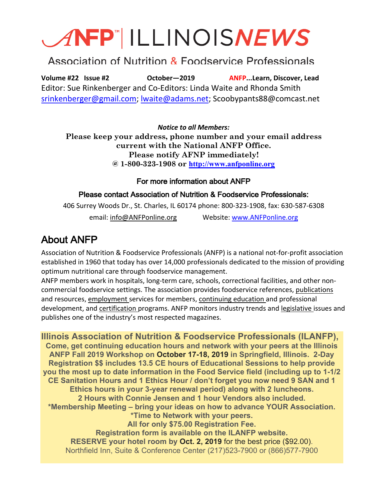# ANFP ILLINOISNEWS

# Association of Nutrition & Foodservice Professionals

**Volume #22 Issue #2 October—2019 ANFP...Learn, Discover, Lead** Editor: Sue Rinkenberger and Co-Editors: Linda Waite and Rhonda Smith srinkenberger@gmail.com; lwaite@adams.net; Scoobypants88@comcast.net

*Notice to all Members:* **Please keep your address, phone number and your email address current with the National ANFP Office. Please notify AFNP immediately! @ 1-800-323-1908 or http://www.anfponline.org**

#### For more information about ANFP

#### Please contact Association of Nutrition & Foodservice Professionals:

406 Surrey Woods Dr., St. Charles, IL 60174 phone: 800-323-1908, fax: 630-587-6308 email: info@ANFPonline.org Website: www.ANFPonline.org

# About ANFP

Association of Nutrition & Foodservice Professionals (ANFP) is a national not-for-profit association established in 1960 that today has over 14,000 professionals dedicated to the mission of providing optimum nutritional care through foodservice management.

ANFP members work in hospitals, long-term care, schools, correctional facilities, and other noncommercial foodservice settings. The association provides foodservice references, publications and resources, employment services for members, continuing education and professional development, and certification programs. ANFP monitors industry trends and legislative issues and publishes one of the industry's most respected magazines.

**Illinois Association of Nutrition & Foodservice Professionals (ILANFP), Come, get continuing education hours and network with your peers at the Illinois ANFP Fall 2019 Workshop on October 17-18, 2019 in Springfield, Illinois. 2-Day Registration \$\$ includes 13.5 CE hours of Educational Sessions to help provide you the most up to date information in the Food Service field (including up to 1-1/2 CE Sanitation Hours and 1 Ethics Hour / don't forget you now need 9 SAN and 1 Ethics hours in your 3-year renewal period) along with 2 luncheons. 2 Hours with Connie Jensen and 1 hour Vendors also included. \*Membership Meeting – bring your ideas on how to advance YOUR Association. \*Time to Network with your peers. All for only \$75.00 Registration Fee. Registration form is available on the ILANFP website. RESERVE your hotel room by Oct. 2, 2019** for the best price (\$92.00). Northfield Inn, Suite & Conference Center (217)523-7900 or (866)577-7900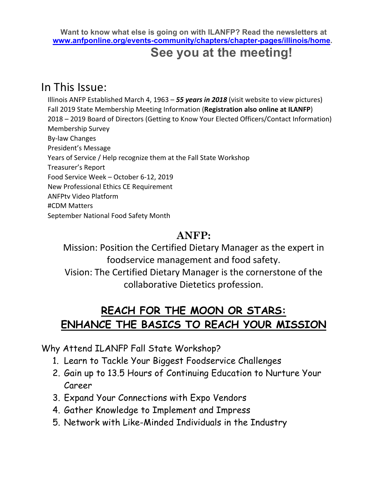**Want to know what else is going on with ILANFP? Read the newsletters at www.anfponline.org/events-community/chapters/chapter-pages/illinois/home.**

# **See you at the meeting!**

# In This Issue:

 Illinois ANFP Established March 4, 1963 – *55 years in 2018* (visit website to view pictures) Fall 2019 State Membership Meeting Information (**Registration also online at ILANFP**) 2018 – 2019 Board of Directors (Getting to Know Your Elected Officers/Contact Information) Membership Survey By-law Changes President's Message Years of Service / Help recognize them at the Fall State Workshop Treasurer's Report Food Service Week – October 6-12, 2019 New Professional Ethics CE Requirement ANFPtv Video Platform #CDM Matters September National Food Safety Month

# **ANFP:**

# Mission: Position the Certified Dietary Manager as the expert in foodservice management and food safety. Vision: The Certified Dietary Manager is the cornerstone of the collaborative Dietetics profession.

# **REACH FOR THE MOON OR STARS: ENHANCE THE BASICS TO REACH YOUR MISSION**

Why Attend ILANFP Fall State Workshop?

- 1. Learn to Tackle Your Biggest Foodservice Challenges
- 2. Gain up to 13.5 Hours of Continuing Education to Nurture Your Career
- 3. Expand Your Connections with Expo Vendors
- 4. Gather Knowledge to Implement and Impress
- 5. Network with Like-Minded Individuals in the Industry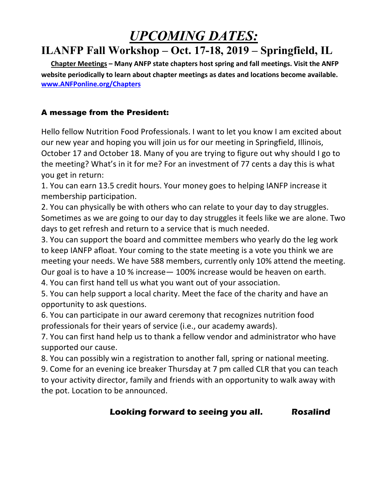# *UPCOMING DATES:*

# **ILANFP Fall Workshop – Oct. 17-18, 2019 – Springfield, IL**

 **Chapter Meetings – Many ANFP state chapters host spring and fall meetings. Visit the ANFP website periodically to learn about chapter meetings as dates and locations become available. www.ANFPonline.org/Chapters**

### A message from the President:

Hello fellow Nutrition Food Professionals. I want to let you know I am excited about our new year and hoping you will join us for our meeting in Springfield, Illinois, October 17 and October 18. Many of you are trying to figure out why should I go to the meeting? What's in it for me? For an investment of 77 cents a day this is what you get in return:

1. You can earn 13.5 credit hours. Your money goes to helping IANFP increase it membership participation.

2. You can physically be with others who can relate to your day to day struggles. Sometimes as we are going to our day to day struggles it feels like we are alone. Two days to get refresh and return to a service that is much needed.

3. You can support the board and committee members who yearly do the leg work to keep IANFP afloat. Your coming to the state meeting is a vote you think we are meeting your needs. We have 588 members, currently only 10% attend the meeting. Our goal is to have a 10 % increase— 100% increase would be heaven on earth.

4. You can first hand tell us what you want out of your association.

5. You can help support a local charity. Meet the face of the charity and have an opportunity to ask questions.

6. You can participate in our award ceremony that recognizes nutrition food professionals for their years of service (i.e., our academy awards).

7. You can first hand help us to thank a fellow vendor and administrator who have supported our cause.

8. You can possibly win a registration to another fall, spring or national meeting.

9. Come for an evening ice breaker Thursday at 7 pm called CLR that you can teach to your activity director, family and friends with an opportunity to walk away with the pot. Location to be announced.

### **Looking forward to seeing you all. Rosalind**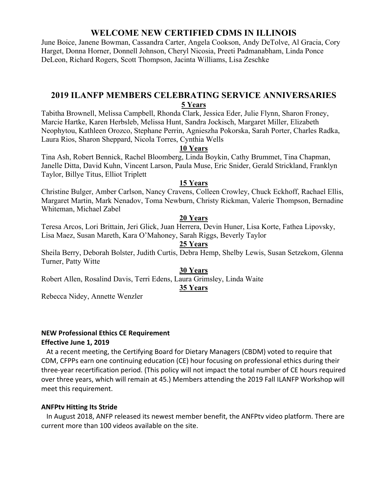#### **WELCOME NEW CERTIFIED CDMS IN ILLINOIS**

June Boice, Janene Bowman, Cassandra Carter, Angela Cookson, Andy DeTolve, Al Gracia, Cory Harget, Donna Horner, Donnell Johnson, Cheryl Nicosia, Preeti Padmanabham, Linda Ponce DeLeon, Richard Rogers, Scott Thompson, Jacinta Williams, Lisa Zeschke

#### **2019 ILANFP MEMBERS CELEBRATING SERVICE ANNIVERSARIES 5 Years**

Tabitha Brownell, Melissa Campbell, Rhonda Clark, Jessica Eder, Julie Flynn, Sharon Froney, Marcie Hartke, Karen Herbsleb, Melissa Hunt, Sandra Jockisch, Margaret Miller, Elizabeth Neophytou, Kathleen Orozco, Stephane Perrin, Agnieszha Pokorska, Sarah Porter, Charles Radka, Laura Rios, Sharon Sheppard, Nicola Torres, Cynthia Wells

#### **10 Years**

Tina Ash, Robert Bennick, Rachel Bloomberg, Linda Boykin, Cathy Brummet, Tina Chapman, Janelle Ditta, David Kuhn, Vincent Larson, Paula Muse, Eric Snider, Gerald Strickland, Franklyn Taylor, Billye Titus, Elliot Triplett

#### **15 Years**

Christine Bulger, Amber Carlson, Nancy Cravens, Colleen Crowley, Chuck Eckhoff, Rachael Ellis, Margaret Martin, Mark Nenadov, Toma Newburn, Christy Rickman, Valerie Thompson, Bernadine Whiteman, Michael Zabel

#### **20 Years**

Teresa Arcos, Lori Brittain, Jeri Glick, Juan Herrera, Devin Huner, Lisa Korte, Fathea Lipovsky, Lisa Maez, Susan Mareth, Kara O'Mahoney, Sarah Riggs, Beverly Taylor

#### **25 Years**

Sheila Berry, Deborah Bolster, Judith Curtis, Debra Hemp, Shelby Lewis, Susan Setzekom, Glenna Turner, Patty Witte

#### **30 Years**

Robert Allen, Rosalind Davis, Terri Edens, Laura Grimsley, Linda Waite

#### **35 Years**

Rebecca Nidey, Annette Wenzler

#### **NEW Professional Ethics CE Requirement Effective June 1, 2019**

At a recent meeting, the Certifying Board for Dietary Managers (CBDM) voted to require that CDM, CFPPs earn one continuing education (CE) hour focusing on professional ethics during their three-year recertification period. (This policy will not impact the total number of CE hours required over three years, which will remain at 45.) Members attending the 2019 Fall ILANFP Workshop will meet this requirement.

#### **ANFPtv Hitting Its Stride**

In August 2018, ANFP released its newest member benefit, the ANFPtv video platform. There are current more than 100 videos available on the site.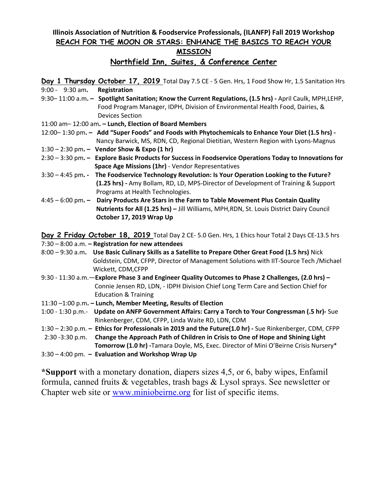#### **Illinois Association of Nutrition & Foodservice Professionals, (ILANFP) Fall 2019 Workshop REACH FOR THE MOON OR STARS: ENHANCE THE BASICS TO REACH YOUR MISSION**

#### **Northfield Inn, Suites, & Conference Center**

**Day 1 Thursday October 17, 2019** Total Day 7.5 CE - 5 Gen. Hrs, 1 Food Show Hr, 1.5 Sanitation Hrs 9:00 - 9:30 am**. Registration**

- 9:30– 11:00 a.m**. Spotlight Sanitation; Know the Current Regulations, (1.5 hrs) -** April Caulk, MPH,LEHP, Food Program Manager, IDPH, Division of Environmental Health Food, Dairies, & Devices Section
- 11:00 am– 12:00 am**. – Lunch, Election of Board Members**
- 12:00– 1:30 pm**. Add "Super Foods" and Foods with Phytochemicals to Enhance Your Diet (1.5 hrs)** Nancy Barwick, MS, RDN, CD, Regional Dietitian, Western Region with Lyons-Magnus
- 1:30 2:30 pm**. Vendor Show & Expo (1 hr)**
- 2:30 3:30 pm**. Explore Basic Products for Success in Foodservice Operations Today to Innovations for Space Age Missions (1hr)** - Vendor Representatives
- 3:30 4:45 pm**. The Foodservice Technology Revolution: Is Your Operation Looking to the Future? (1.25 hrs) -** Amy Bollam, RD, LD, MPS-Director of Development of Training & Support Programs at Health Technologies.
- 4:45 6:00 pm**. Dairy Products Are Stars in the Farm to Table Movement Plus Contain Quality Nutrients for All (1.25 hrs) –** Jill Williams, MPH,RDN, St. Louis District Dairy Council **October 17, 2019 Wrap Up**

**Day 2 Friday October 18, 2019** Total Day 2 CE- 5.0 Gen. Hrs, 1 Ehics hour Total 2 Days CE-13.5 hrs

- 7:30 8:00 a.m. **– Registration for new attendees**
- 8:00 9:30 a.m**. Use Basic Culinary Skills as a Satellite to Prepare Other Great Food (1.5 hrs)** Nick Goldstein, CDM, CFPP, Director of Management Solutions with IIT-Source Tech /Michael Wickett, CDM,CFPP
- 9:30 11:30 a.m.—**Explore Phase 3 and Engineer Quality Outcomes to Phase 2 Challenges, (2.0 hrs) –** Connie Jensen RD, LDN, - IDPH Division Chief Long Term Care and Section Chief for Education & Training
- 11:30 –1:00 p.m**. – Lunch, Member Meeting, Results of Election**
- 1:00 1:30 p.m.- **Update on ANFP Government Affairs: Carry a Torch to Your Congressman (.5 hr)-** Sue Rinkenberger, CDM, CFPP, Linda Waite RD, LDN, CDM
- 1:30 2:30 p.m. **– Ethics for Professionals in 2019 and the Future(1.0 hr) -** Sue Rinkenberger, CDM, CFPP

 2:30 -3:30 p.m. **Change the Approach Path of Children in Crisis to One of Hope and Shining Light Tomorrow (1.0 hr) -**Tamara Doyle, MS, Exec. Director of Mini O'Beirne Crisis Nursery\*

3:30 – 4:00 pm. **– Evaluation and Workshop Wrap Up**

**\*Support** with a monetary donation, diapers sizes 4,5, or 6, baby wipes, Enfamil formula, canned fruits & vegetables, trash bags & Lysol sprays. See newsletter or Chapter web site or www.miniobeirne.org for list of specific items.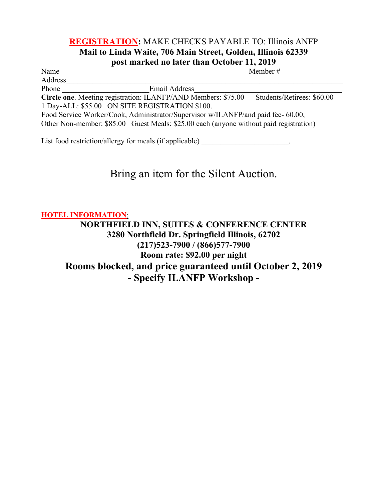### **REGISTRATION:** MAKE CHECKS PAYABLE TO: Illinois ANFP **Mail to Linda Waite, 706 Main Street, Golden, Illinois 62339 post marked no later than October 11, 2019**

Name Member #

Address\_\_\_\_\_\_\_\_\_\_\_\_\_\_\_\_\_\_\_\_\_\_\_\_\_\_\_\_\_\_\_\_\_\_\_\_\_\_\_\_\_\_\_\_\_\_\_\_\_\_\_\_\_\_\_\_\_\_\_\_\_\_\_\_\_\_\_\_\_\_\_\_\_

Phone **Email Address** 

**Circle one.** Meeting registration: ILANFP/AND Members: \$75.00 Students/Retirees: \$60.00 1 Day-ALL: \$55.00 ON SITE REGISTRATION \$100.

Food Service Worker/Cook, Administrator/Supervisor w/ILANFP/and paid fee- 60.00, Other Non-member: \$85.00 Guest Meals: \$25.00 each (anyone without paid registration)

List food restriction/allergy for meals (if applicable)  $\qquad \qquad$ 

# Bring an item for the Silent Auction.

**HOTEL INFORMATION**:

**NORTHFIELD INN, SUITES & CONFERENCE CENTER 3280 Northfield Dr. Springfield Illinois, 62702 (217)523-7900 / (866)577-7900 Room rate: \$92.00 per night Rooms blocked, and price guaranteed until October 2, 2019 - Specify ILANFP Workshop -**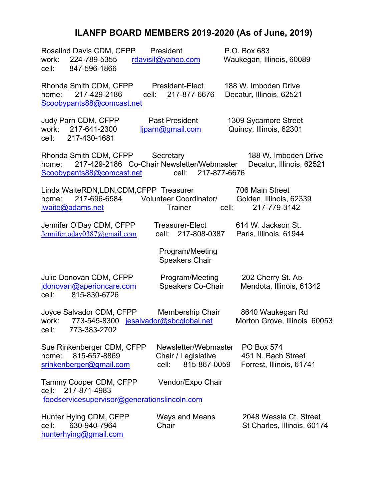# **ILANFP BOARD MEMBERS 2019-2020 (As of June, 2019)**

| Rosalind Davis CDM, CFPP<br>work:<br>224-789-5355<br>847-596-1866<br>cell:                                 | President<br>rdavisil@yahoo.com                                      | P.O. Box 683<br>Waukegan, Illinois, 60089                           |
|------------------------------------------------------------------------------------------------------------|----------------------------------------------------------------------|---------------------------------------------------------------------|
| Rhonda Smith CDM, CFPP<br>217-429-2186<br>home:<br>cell:<br>Scoobypants88@comcast.net                      | President-Elect<br>217-877-6676                                      | 188 W. Imboden Drive<br>Decatur, Illinois, 62521                    |
| Judy Parn CDM, CFPP<br>work:<br>217-641-2300<br>217-430-1681<br>cell:                                      | <b>Past President</b><br>ljparn@gmail.com                            | 1309 Sycamore Street<br>Quincy, Illinois, 62301                     |
| Rhonda Smith CDM, CFPP<br>217-429-2186 Co-Chair Newsletter/Webmaster<br>home:<br>Scoobypants88@comcast.net | Secretary<br>217-877-6676<br>cell:                                   | 188 W. Imboden Drive<br>Decatur, Illinois, 62521                    |
| Linda WaiteRDN, LDN, CDM, CFPP Treasurer<br>217-696-6584<br>home:<br>lwaite@adams.net                      | Volunteer Coordinator/<br><b>Trainer</b>                             | 706 Main Street<br>Golden, Illinois, 62339<br>217-779-3142<br>cell: |
| Jennifer O'Day CDM, CFPP<br>Jennifer.oday0387@gmail.com                                                    | <b>Treasurer-Elect</b><br>217-808-0387<br>cell:                      | 614 W. Jackson St.<br>Paris, Illinois, 61944                        |
|                                                                                                            | Program/Meeting<br><b>Speakers Chair</b>                             |                                                                     |
| Julie Donovan CDM, CFPP<br>jdonovan@aperioncare.com<br>815-830-6726<br>cell:                               | Program/Meeting<br><b>Speakers Co-Chair</b>                          | 202 Cherry St. A5<br>Mendota, Illinois, 61342                       |
| Joyce Salvador CDM, CFPP<br>work:<br>773-545-8300 jesalvador@sbcglobal.net<br>cell:<br>773-383-2702        | Membership Chair                                                     | 8640 Waukegan Rd<br>Morton Grove, Illinois 60053                    |
| Sue Rinkenberger CDM, CFPP<br>815-657-8869<br>home:<br>srinkenberger@gmail.com                             | Newsletter/Webmaster<br>Chair / Legislative<br>815-867-0059<br>cell: | <b>PO Box 574</b><br>451 N. Bach Street<br>Forrest, Illinois, 61741 |
| Tammy Cooper CDM, CFPP<br>217-871-4983<br>cell:<br>foodservicesupervisor@generationslincoln.com            | Vendor/Expo Chair                                                    |                                                                     |
| Hunter Hying CDM, CFPP<br>630-940-7964<br>cell:<br>hunterhying@gmail.com                                   | Ways and Means<br>Chair                                              | 2048 Wessle Ct. Street<br>St Charles, Illinois, 60174               |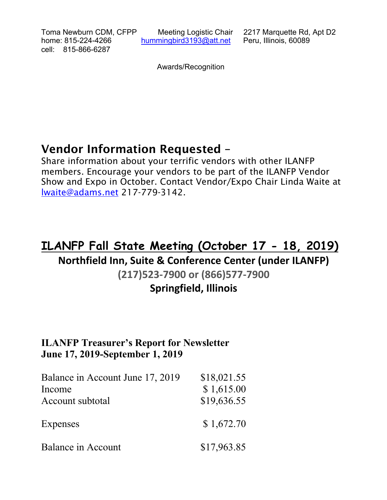Toma Newburn CDM, CFPP Meeting Logistic Chair 2217 Marquette Rd, Apt D2 home: 815-224-4266 hummingbird3193@att.net Peru, Illinois, 60089 cell: 815-866-6287

Awards/Recognition

# Vendor Information Requested –

Share information about your terrific vendors with other ILANFP members. Encourage your vendors to be part of the ILANFP Vendor Show and Expo in October. Contact Vendor/Expo Chair Linda Waite at lwaite@adams.net 217-779-3142.

# **ILANFP Fall State Meeting (October 17 - 18, 2019)**

# **Northfield Inn, Suite & Conference Center (under ILANFP)**

## **(217)523-7900 or (866)577-7900**

# **Springfield, Illinois**

### **ILANFP Treasurer's Report for Newsletter June 17, 2019-September 1, 2019**

| Balance in Account June 17, 2019<br>Income<br>Account subtotal | \$18,021.55<br>\$1,615.00<br>\$19,636.55 |
|----------------------------------------------------------------|------------------------------------------|
| Expenses                                                       | \$1,672.70                               |
| Balance in Account                                             | \$17,963.85                              |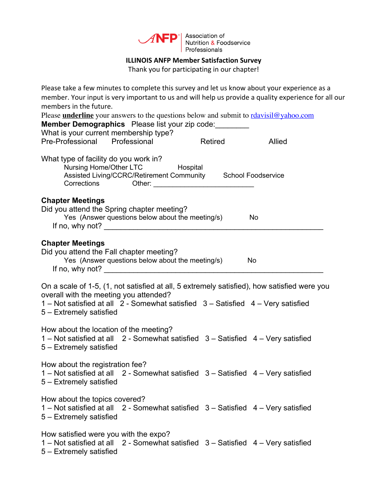

Association of<br>Nutrition & Foodservice Professionals

#### **ILLINOIS ANFP Member Satisfaction Survey**

Thank you for participating in our chapter!

| Please take a few minutes to complete this survey and let us know about your experience as a<br>member. Your input is very important to us and will help us provide a quality experience for all our<br>members in the future.<br>Please <b>underline</b> your answers to the questions below and submit to rdavisil@yahoo.com<br><b>Member Demographics</b> Please list your zip code:<br>What is your current membership type? |         |        |
|----------------------------------------------------------------------------------------------------------------------------------------------------------------------------------------------------------------------------------------------------------------------------------------------------------------------------------------------------------------------------------------------------------------------------------|---------|--------|
| Pre-Professional Professional                                                                                                                                                                                                                                                                                                                                                                                                    | Retired | Allied |
| What type of facility do you work in?<br>Nursing Home/Other LTC Hospital<br>Assisted Living/CCRC/Retirement Community School Foodservice                                                                                                                                                                                                                                                                                         |         |        |
| <b>Chapter Meetings</b><br>Did you attend the Spring chapter meeting?<br>Yes (Answer questions below about the meeting/s)                                                                                                                                                                                                                                                                                                        |         | No.    |
| <b>Chapter Meetings</b><br>Did you attend the Fall chapter meeting?<br>Yes (Answer questions below about the meeting/s)<br>If no, why not? $\frac{1}{2}$ and $\frac{1}{2}$ and $\frac{1}{2}$ and $\frac{1}{2}$ and $\frac{1}{2}$ and $\frac{1}{2}$ and $\frac{1}{2}$ and $\frac{1}{2}$ and $\frac{1}{2}$ and $\frac{1}{2}$ and $\frac{1}{2}$ and $\frac{1}{2}$ and $\frac{1}{2}$ and $\frac{1}{2}$ and $\frac{1}{2}$             |         | No     |
| On a scale of 1-5, (1, not satisfied at all, 5 extremely satisfied), how satisfied were you<br>overall with the meeting you attended?<br>1 – Not satisfied at all 2 - Somewhat satisfied 3 – Satisfied 4 – Very satisfied<br>5 - Extremely satisfied                                                                                                                                                                             |         |        |
| How about the location of the meeting?<br>1 – Not satisfied at all 2 - Somewhat satisfied 3 – Satisfied 4 – Very satisfied<br>5 - Extremely satisfied                                                                                                                                                                                                                                                                            |         |        |
| How about the registration fee?<br>1 - Not satisfied at all 2 - Somewhat satisfied 3 - Satisfied 4 - Very satisfied<br>5 - Extremely satisfied                                                                                                                                                                                                                                                                                   |         |        |
| How about the topics covered?<br>1 – Not satisfied at all 2 - Somewhat satisfied 3 – Satisfied 4 – Very satisfied<br>5 – Extremely satisfied                                                                                                                                                                                                                                                                                     |         |        |
| How satisfied were you with the expo?<br>1 - Not satisfied at all 2 - Somewhat satisfied 3 - Satisfied 4 - Very satisfied<br>5 – Extremely satisfied                                                                                                                                                                                                                                                                             |         |        |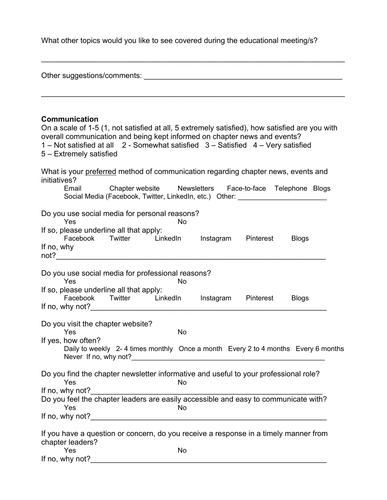What other topics would you like to see covered during the educational meeting/s?

 $\mathcal{L}_\text{max}$  , and the contract of the contract of the contract of the contract of the contract of the contract of the contract of the contract of the contract of the contract of the contract of the contract of the contr

| Other suggestions/comments:                                                                                                                                                                                                                                                                                        |              |  |  |  |
|--------------------------------------------------------------------------------------------------------------------------------------------------------------------------------------------------------------------------------------------------------------------------------------------------------------------|--------------|--|--|--|
| <b>Communication</b><br>On a scale of 1-5 (1, not satisfied at all, 5 extremely satisfied), how satisfied are you with<br>overall communication and being kept informed on chapter news and events?<br>1 - Not satisfied at all 2 - Somewhat satisfied 3 - Satisfied 4 - Very satisfied<br>5 – Extremely satisfied |              |  |  |  |
| What is your preferred method of communication regarding chapter news, events and<br>initiatives?<br>Chapter website Mewsletters Face-to-face Telephone Blogs<br>Email<br>Social Media (Facebook, Twitter, LinkedIn, etc.) Other: ________________________                                                         |              |  |  |  |
| Do you use social media for personal reasons?<br>Yes<br><b>No</b><br>If so, please underline all that apply:<br>LinkedIn Instagram Pinterest<br>Facebook Twitter<br>If no, why                                                                                                                                     | <b>Blogs</b> |  |  |  |
| Do you use social media for professional reasons?<br>Yes<br><b>No</b><br>If so, please underline all that apply:<br>Facebook Twitter LinkedIn Instagram<br>Pinterest                                                                                                                                               | <b>Blogs</b> |  |  |  |
| Do you visit the chapter website?<br><b>No</b><br>Yes<br>If yes, how often?<br>Daily to weekly 2-4 times monthly Once a month Every 2 to 4 months Every 6 months                                                                                                                                                   |              |  |  |  |
| Do you find the chapter newsletter informative and useful to your professional role?<br>Yes<br>No<br>If no, why not?<br>Do you feel the chapter leaders are easily accessible and easy to communicate with?<br>Yes<br>No.                                                                                          |              |  |  |  |
| If you have a question or concern, do you receive a response in a timely manner from<br>chapter leaders?<br>Yes<br>No<br>If no, why not?                                                                                                                                                                           |              |  |  |  |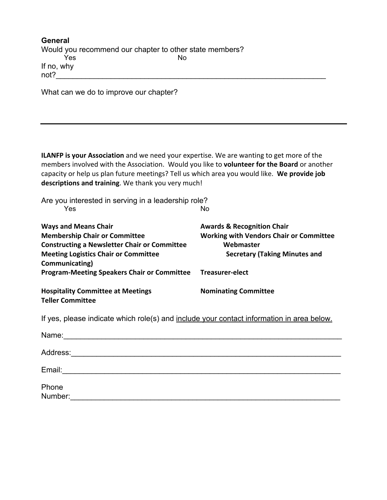| General                                                 |     |  |  |  |
|---------------------------------------------------------|-----|--|--|--|
| Would you recommend our chapter to other state members? |     |  |  |  |
| Yes                                                     | No. |  |  |  |
| If no, why                                              |     |  |  |  |
| not?                                                    |     |  |  |  |

What can we do to improve our chapter?

**ILANFP is your Association** and we need your expertise. We are wanting to get more of the members involved with the Association. Would you like to **volunteer for the Board** or another capacity or help us plan future meetings? Tell us which area you would like. **We provide job descriptions and training**. We thank you very much!

| Are you interested in serving in a leadership role?                                                            |                                                |
|----------------------------------------------------------------------------------------------------------------|------------------------------------------------|
| Yes                                                                                                            | No                                             |
| <b>Ways and Means Chair</b>                                                                                    | <b>Awards &amp; Recognition Chair</b>          |
| <b>Membership Chair or Committee</b>                                                                           | <b>Working with Vendors Chair or Committee</b> |
| <b>Constructing a Newsletter Chair or Committee</b>                                                            | Webmaster                                      |
| <b>Meeting Logistics Chair or Committee</b><br>Communicating)                                                  | <b>Secretary (Taking Minutes and</b>           |
| Program-Meeting Speakers Chair or Committee Treasurer-elect                                                    |                                                |
| <b>Hospitality Committee at Meetings</b><br><b>Teller Committee</b>                                            | <b>Nominating Committee</b>                    |
| If yes, please indicate which role(s) and include your contact information in area below.                      |                                                |
| Name: 2008. 2009. 2009. 2010. 2010. 2010. 2010. 2010. 2010. 2010. 2010. 2010. 2010. 2010. 2010. 2010. 2010. 20 |                                                |
|                                                                                                                |                                                |
|                                                                                                                |                                                |
| Email: <u>_______________________________</u>                                                                  |                                                |
| Phone                                                                                                          |                                                |
| Number:                                                                                                        |                                                |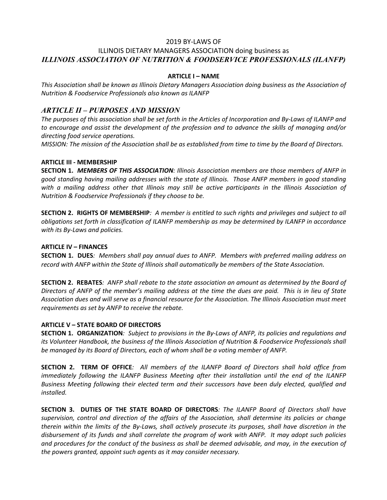#### 2019 BY-LAWS OF

#### ILLINOIS DIETARY MANAGERS ASSOCIATION doing business as *ILLINOIS ASSOCIATION OF NUTRITION & FOODSERVICE PROFESSIONALS (ILANFP)*

#### **ARTICLE I – NAME**

*This Association shall be known as Illinois Dietary Managers Association doing business as the Association of Nutrition & Foodservice Professionals also known as ILANFP* 

#### *ARTICLE II – PURPOSES AND MISSION*

*The purposes of this association shall be set forth in the Articles of Incorporation and By-Laws of ILANFP and to encourage and assist the development of the profession and to advance the skills of managing and/or directing food service operations.*

*MISSION: The mission of the Association shall be as established from time to time by the Board of Directors.*

#### **ARTICLE III - MEMBERSHIP**

**SECTION 1.** *MEMBERS OF THIS ASSOCIATION: Illinois Association members are those members of ANFP in good standing having mailing addresses with the state of Illinois. Those ANFP members in good standing*  with a mailing address other that Illinois may still be active participants in the Illinois Association of *Nutrition & Foodservice Professionals if they choose to be.*

**SECTION 2. RIGHTS OF MEMBERSHIP***: A member is entitled to such rights and privileges and subject to all obligations set forth in classification of ILANFP membership as may be determined by ILANFP in accordance with its By-Laws and policies.*

#### **ARTICLE IV – FINANCES**

**SECTION 1. DUES***: Members shall pay annual dues to ANFP. Members with preferred mailing address on record with ANFP within the State of Illinois shall automatically be members of the State Association.*

**SECTION 2. REBATES***: ANFP shall rebate to the state association an amount as determined by the Board of Directors of ANFP of the member's mailing address at the time the dues are paid. This is in lieu of State Association dues and will serve as a financial resource for the Association. The Illinois Association must meet requirements as set by ANFP to receive the rebate.*

#### **ARTICLE V – STATE BOARD OF DIRECTORS**

**SECTION 1. ORGANIZATION***: Subject to provisions in the By-Laws of ANFP, its policies and regulations and its Volunteer Handbook, the business of the Illinois Association of Nutrition & Foodservice Professionals shall be managed by its Board of Directors, each of whom shall be a voting member of ANFP.*

**SECTION 2. TERM OF OFFICE***: All members of the ILANFP Board of Directors shall hold office from immediately following the ILANFP Business Meeting after their installation until the end of the ILANFP Business Meeting following their elected term and their successors have been duly elected, qualified and installed.*

**SECTION 3. DUTIES OF THE STATE BOARD OF DIRECTORS***: The ILANFP Board of Directors shall have supervision, control and direction of the affairs of the Association, shall determine its policies or change therein within the limits of the By-Laws, shall actively prosecute its purposes, shall have discretion in the disbursement of its funds and shall correlate the program of work with ANFP. It may adopt such policies and procedures for the conduct of the business as shall be deemed advisable, and may, in the execution of the powers granted, appoint such agents as it may consider necessary.*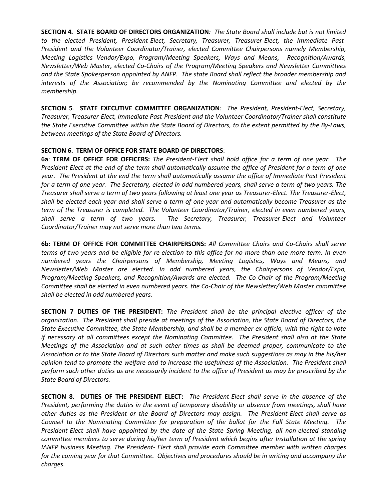**SECTION 4***.* **STATE BOARD OF DIRECTORS ORGANIZATION***: The State Board shall include but is not limited to the elected President, President-Elect, Secretary, Treasurer, Treasurer-Elect, the Immediate Past-President and the Volunteer Coordinator/Trainer, elected Committee Chairpersons namely Membership, Meeting Logistics Vendor/Expo, Program/Meeting Speakers, Ways and Means, Recognition/Awards, Newsletter/Web Master, elected Co-Chairs of the Program/Meeting Speakers and Newsletter Committees and the State Spokesperson appointed by ANFP. The state Board shall reflect the broader membership and interests of the Association; be recommended by the Nominating Committee and elected by the membership.*

**SECTION 5***.* **STATE EXECUTIVE COMMITTEE ORGANIZATION***: The President, President-Elect, Secretary, Treasurer, Treasurer-Elect, Immediate Past-President and the Volunteer Coordinator/Trainer shall constitute the State Executive Committee within the State Board of Directors, to the extent permitted by the By-Laws, between meetings of the State Board of Directors.*

#### **SECTION 6. TERM OF OFFICE FOR STATE BOARD OF DIRECTORS**:

**6a**: **TERM OF OFFICE FOR OFFICERS:** *The President-Elect shall hold office for a term of one year. The President-Elect at the end of the term shall automatically assume the office of President for a term of one year. The President at the end the term shall automatically assume the office of Immediate Past President for a term of one year. The Secretary, elected in odd numbered years, shall serve a term of two years. The Treasurer shall serve a term of two years following at least one year as Treasurer-Elect. The Treasurer-Elect, shall be elected each year and shall serve a term of one year and automatically become Treasurer as the term of the Treasurer is completed. The Volunteer Coordinator/Trainer, elected in even numbered years, shall serve a term of two years. The Secretary, Treasurer, Treasurer-Elect and Volunteer Coordinator/Trainer may not serve more than two terms.* 

**6b: TERM OF OFFICE FOR COMMITTEE CHAIRPERSONS:** *All Committee Chairs and Co-Chairs shall serve terms of two years and be eligible for re-election to this office for no more than one more term. In even numbered years the Chairpersons of Membership, Meeting Logistics, Ways and Means, and Newsletter/Web Master are elected. In odd numbered years, the Chairpersons of Vendor/Expo, Program/Meeting Speakers, and Recognition/Awards are elected. The Co-Chair of the Program/Meeting Committee shall be elected in even numbered years. the Co-Chair of the Newsletter/Web Master committee shall be elected in odd numbered years.*

**SECTION 7 DUTIES OF THE PRESIDENT:** *The President shall be the principal elective officer of the organization. The President shall preside at meetings of the Association, the State Board of Directors, the State Executive Committee, the State Membership, and shall be a member-ex-officio, with the right to vote if necessary at all committees except the Nominating Committee. The President shall also at the State Meetings of the Association and at such other times as shall be deemed proper, communicate to the Association or to the State Board of Directors such matter and make such suggestions as may in the his/her opinion tend to promote the welfare and to increase the usefulness of the Association. The President shall perform such other duties as are necessarily incident to the office of President as may be prescribed by the State Board of Directors.*

**SECTION 8. DUTIES OF THE PRESIDENT ELECT:** *The President-Elect shall serve in the absence of the President, performing the duties in the event of temporary disability or absence from meetings, shall have other duties as the President or the Board of Directors may assign. The President-Elect shall serve as Counsel to the Nominating Committee for preparation of the ballot for the Fall State Meeting. The President-Elect shall have appointed by the date of the State Spring Meeting, all non-elected standing committee members to serve during his/her term of President which begins after Installation at the spring IANFP business Meeting. The President- Elect shall provide each Committee member with written charges for the coming year for that Committee. Objectives and procedures should be in writing and accompany the charges.*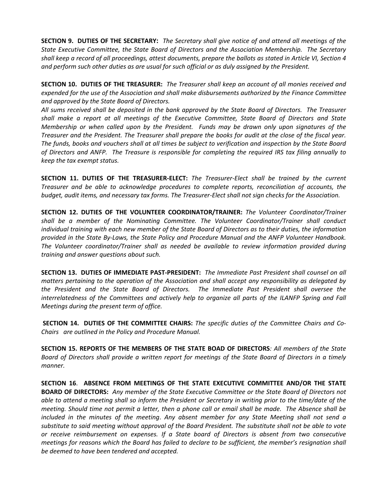**SECTION 9. DUTIES OF THE SECRETARY:** *The Secretary shall give notice of and attend all meetings of the State Executive Committee, the State Board of Directors and the Association Membership. The Secretary shall keep a record of all proceedings, attest documents, prepare the ballots as stated in Article VI, Section 4 and perform such other duties as are usual for such official or as duly assigned by the President.*

**SECTION 10. DUTIES OF THE TREASURER:** *The Treasurer shall keep an account of all monies received and expended for the use of the Association and shall make disbursements authorized by the Finance Committee and approved by the State Board of Directors.* 

*All sums received shall be deposited in the bank approved by the State Board of Directors. The Treasurer shall make a report at all meetings of the Executive Committee, State Board of Directors and State Membership or when called upon by the President. Funds may be drawn only upon signatures of the Treasurer and the President. The Treasurer shall prepare the books for audit at the close of the fiscal year. The funds, books and vouchers shall at all times be subject to verification and inspection by the State Board of Directors and ANFP. The Treasure is responsible for completing the required IRS tax filing annually to keep the tax exempt status.* 

**SECTION 11. DUTIES OF THE TREASURER-ELECT:** *The Treasurer-Elect shall be trained by the current Treasurer and be able to acknowledge procedures to complete reports, reconciliation of accounts, the budget, audit items, and necessary tax forms. The Treasurer-Elect shall not sign checks for the Association.*

**SECTION 12. DUTIES OF THE VOLUNTEER COORDINATOR/TRAINER:** *The Volunteer Coordinator/Trainer shall be a member of the Nominating Committee. The Volunteer Coordinator/Trainer shall conduct individual training with each new member of the State Board of Directors as to their duties, the information provided in the State By-Laws, the State Policy and Procedure Manual and the ANFP Volunteer Handbook. The Volunteer coordinator/Trainer shall as needed be available to review information provided during training and answer questions about such.*

**SECTION 13. DUTIES OF IMMEDIATE PAST-PRESIDENT:** *The Immediate Past President shall counsel on all matters pertaining to the operation of the Association and shall accept any responsibility as delegated by the President and the State Board of Directors. The Immediate Past President shall oversee the interrelatedness of the Committees and actively help to organize all parts of the ILANFP Spring and Fall Meetings during the present term of office.*

**SECTION 14. DUTIES OF THE COMMITTEE CHAIRS:** *The specific duties of the Committee Chairs and Co-Chairs are outlined in the Policy and Procedure Manual.*

**SECTION 15. REPORTS OF THE MEMBERS OF THE STATE BOAD OF DIRECTORS***: All members of the State Board of Directors shall provide a written report for meetings of the State Board of Directors in a timely manner.*

**SECTION 16**. **ABSENCE FROM MEETINGS OF THE STATE EXECUTIVE COMMITTEE AND/OR THE STATE BOARD OF DIRECTORS:** *Any member of the State Executive Committee or the State Board of Directors not able to attend a meeting shall so inform the President or Secretary in writing prior to the time/date of the meeting. Should time not permit a letter, then a phone call or email shall be made. The Absence shall be included in the minutes of the meeting*. *Any absent member for any State Meeting shall not send a substitute to said meeting without approval of the Board President. The substitute shall not be able to vote or receive reimbursement on expenses. If a State board of Directors is absent from two consecutive meetings for reasons which the Board has failed to declare to be sufficient, the member's resignation shall be deemed to have been tendered and accepted.*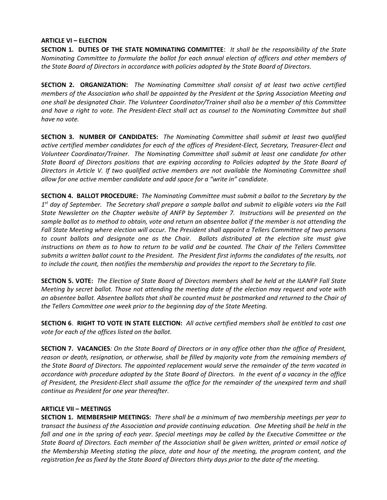#### **ARTICLE VI – ELECTION**

**SECTION 1. DUTIES OF THE STATE NOMINATING COMMITTEE**: *It shall be the responsibility of the State Nominating Committee to formulate the ballot for each annual election of officers and other members of the State Board of Directors in accordance with policies adopted by the State Board of Directors.*

**SECTION 2. ORGANIZATION:** *The Nominating Committee shall consist of at least two active certified members of the Association who shall be appointed by the President at the Spring Association Meeting and one shall be designated Chair. The Volunteer Coordinator/Trainer shall also be a member of this Committee*  and have a right to vote. The President-Elect shall act as counsel to the Nominating Committee but shall *have no vote.*

**SECTION 3. NUMBER OF CANDIDATES:** *The Nominating Committee shall submit at least two qualified active certified member candidates for each of the offices of President-Elect, Secretary, Treasurer-Elect and Volunteer Coordinator/Trainer. The Nominating Committee shall submit at least one candidate for other State Board of Directors positions that are expiring according to Policies adopted by the State Board of Directors in Article V. If two qualified active members are not available the Nominating Committee shall allow for one active member candidate and add space for a "write in" candidate.*

**SECTION 4. BALLOT PROCEDURE:** *The Nominating Committee must submit a ballot to the Secretary by the 1st day of September. The Secretary shall prepare a sample ballot and submit to eligible voters via the Fall State Newsletter on the Chapter website of ANFP by September 7. Instructions will be presented on the sample ballot as to method to obtain, vote and return an absentee ballot if the member is not attending the Fall State Meeting where election will occur. The President shall appoint a Tellers Committee of two persons to count ballots and designate one as the Chair. Ballots distributed at the election site must give instructions on them as to how to return to be valid and be counted. The Chair of the Tellers Committee submits a written ballot count to the President. The President first informs the candidates of the results, not to include the count, then notifies the membership and provides the report to the Secretary to file.*

**SECTION 5. VOTE:** *The Election of State Board of Directors members shall be held at the ILANFP Fall State Meeting by secret ballot. Those not attending the meeting date of the election may request and vote with an absentee ballot. Absentee ballots that shall be counted must be postmarked and returned to the Chair of the Tellers Committee one week prior to the beginning day of the State Meeting.* 

**SECTION 6**. **RIGHT TO VOTE IN STATE ELECTION:** *All active certified members shall be entitled to cast one vote for each of the offices listed on the ballot.*

**SECTION 7. VACANCIES***: On the State Board of Directors or in any office other than the office of President, reason or death, resignation, or otherwise, shall be filled by majority vote from the remaining members of the State Board of Directors. The appointed replacement would serve the remainder of the term vacated in accordance with procedure adopted by the State Board of Directors. In the event of a vacancy in the office of President, the President-Elect shall assume the office for the remainder of the unexpired term and shall continue as President for one year thereafter.*

#### **ARTICLE VII – MEETINGS**

**SECTION 1. MEMBERSHIP MEETINGS:** *There shall be a minimum of two membership meetings per year to transact the business of the Association and provide continuing education. One Meeting shall be held in the fall and one in the spring of each year. Special meetings may be called by the Executive Committee or the State Board of Directors. Each member of the Association shall be given written, printed or email notice of the Membership Meeting stating the place, date and hour of the meeting, the program content, and the registration fee as fixed by the State Board of Directors thirty days prior to the date of the meeting.*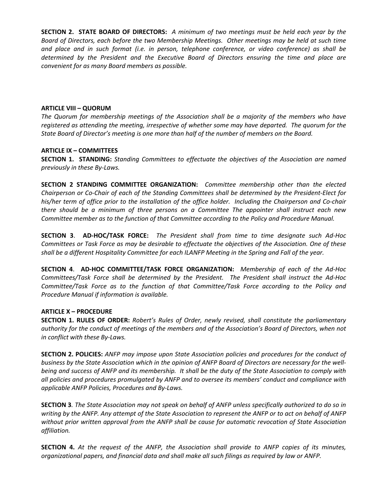**SECTION 2. STATE BOARD OF DIRECTORS:** *A minimum of two meetings must be held each year by the Board of Directors, each before the two Membership Meetings. Other meetings may be held at such time and place and in such format (i.e. in person, telephone conference, or video conference) as shall be determined by the President and the Executive Board of Directors ensuring the time and place are convenient for as many Board members as possible.*

#### **ARTICLE VIII – QUORUM**

*The Quorum for membership meetings of the Association shall be a majority of the members who have registered as attending the meeting, irrespective of whether some may have departed. The quorum for the State Board of Director's meeting is one more than half of the number of members on the Board.*

#### **ARTICLE IX – COMMITTEES**

**SECTION 1. STANDING:** *Standing Committees to effectuate the objectives of the Association are named previously in these By-Laws.*

**SECTION 2 STANDING COMMITTEE ORGANIZATION:** *Committee membership other than the elected Chairperson or Co-Chair of each of the Standing Committees shall be determined by the President-Elect for his/her term of office prior to the installation of the office holder. Including the Chairperson and Co-chair there should be a minimum of three persons on a Committee The appointer shall instruct each new Committee member as to the function of that Committee according to the Policy and Procedure Manual.* 

**SECTION 3**. **AD-HOC/TASK FORCE:** *The President shall from time to time designate such Ad-Hoc Committees or Task Force as may be desirable to effectuate the objectives of the Association. One of these shall be a different Hospitality Committee for each ILANFP Meeting in the Spring and Fall of the year.*

**SECTION 4**. **AD-HOC COMMITTEE/TASK FORCE ORGANIZATION:** *Membership of each of the Ad-Hoc Committees/Task Force shall be determined by the President. The President shall instruct the Ad-Hoc Committee/Task Force as to the function of that Committee/Task Force according to the Policy and Procedure Manual if information is available.*

#### **ARTICLE X – PROCEDURE**

**SECTION 1. RULES OF ORDER:** *Robert's Rules of Order, newly revised, shall constitute the parliamentary authority for the conduct of meetings of the members and of the Association's Board of Directors, when not in conflict with these By-Laws.*

**SECTION 2. POLICIES:** *ANFP may impose upon State Association policies and procedures for the conduct of business by the State Association which in the opinion of ANFP Board of Directors are necessary for the wellbeing and success of ANFP and its membership. It shall be the duty of the State Association to comply with all policies and procedures promulgated by ANFP and to oversee its members' conduct and compliance with applicable ANFP Policies, Procedures and By-Laws.*

**SECTION 3***. The State Association may not speak on behalf of ANFP unless specifically authorized to do so in writing by the ANFP. Any attempt of the State Association to represent the ANFP or to act on behalf of ANFP without prior written approval from the ANFP shall be cause for automatic revocation of State Association affiliation.*

**SECTION 4.** *At the request of the ANFP, the Association shall provide to ANFP copies of its minutes, organizational papers, and financial data and shall make all such filings as required by law or ANFP.*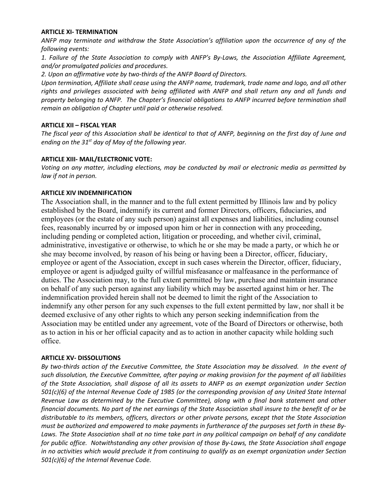#### **ARTICLE XI- TERMINATION**

*ANFP may terminate and withdraw the State Association's affiliation upon the occurrence of any of the following events:*

*1. Failure of the State Association to comply with ANFP's By-Laws, the Association Affiliate Agreement, and/or promulgated policies and procedures.*

*2. Upon an affirmative vote by two-thirds of the ANFP Board of Directors.*

*Upon termination, Affiliate shall cease using the ANFP name, trademark, trade name and logo, and all other rights and privileges associated with being affiliated with ANFP and shall return any and all funds and property belonging to ANFP. The Chapter's financial obligations to ANFP incurred before termination shall remain an obligation of Chapter until paid or otherwise resolved.*

#### **ARTICLE XII – FISCAL YEAR**

*The fiscal year of this Association shall be identical to that of ANFP, beginning on the first day of June and ending on the 31st day of May of the following year.*

#### **ARTICLE XIII- MAIL/ELECTRONIC VOTE:**

*Voting on any matter, including elections, may be conducted by mail or electronic media as permitted by law if not in person.*

#### **ARTICLE XIV INDEMNIFICATION**

The Association shall, in the manner and to the full extent permitted by Illinois law and by policy established by the Board, indemnify its current and former Directors, officers, fiduciaries, and employees (or the estate of any such person) against all expenses and liabilities, including counsel fees, reasonably incurred by or imposed upon him or her in connection with any proceeding, including pending or completed action, litigation or proceeding, and whether civil, criminal, administrative, investigative or otherwise, to which he or she may be made a party, or which he or she may become involved, by reason of his being or having been a Director, officer, fiduciary, employee or agent of the Association, except in such cases wherein the Director, officer, fiduciary, employee or agent is adjudged guilty of willful misfeasance or malfeasance in the performance of duties. The Association may, to the full extent permitted by law, purchase and maintain insurance on behalf of any such person against any liability which may be asserted against him or her. The indemnification provided herein shall not be deemed to limit the right of the Association to indemnify any other person for any such expenses to the full extent permitted by law, nor shall it be deemed exclusive of any other rights to which any person seeking indemnification from the Association may be entitled under any agreement, vote of the Board of Directors or otherwise, both as to action in his or her official capacity and as to action in another capacity while holding such office.

#### **ARTICLE XV- DISSOLUTIONS**

*By two-thirds action of the Executive Committee, the State Association may be dissolved. In the event of such dissolution, the Executive Committee, after paying or making provision for the payment of all liabilities of the State Association, shall dispose of all its assets to ANFP as an exempt organization under Section 501(c)(6) of the Internal Revenue Code of 1985 (or the corresponding provision of any United State Internal Revenue Law as determined by the Executive Committee), along with a final bank statement and other financial documents. No part of the net earnings of the State Association shall insure to the benefit of or be distributable to its members, officers, directors or other private persons, except that the State Association must be authorized and empowered to make payments in furtherance of the purposes set forth in these By-Laws. The State Association shall at no time take part in any political campaign on behalf of any candidate for public office. Notwithstanding any other provision of those By-Laws, the State Association shall engage in no activities which would preclude it from continuing to qualify as an exempt organization under Section 501(c)(6) of the Internal Revenue Code.*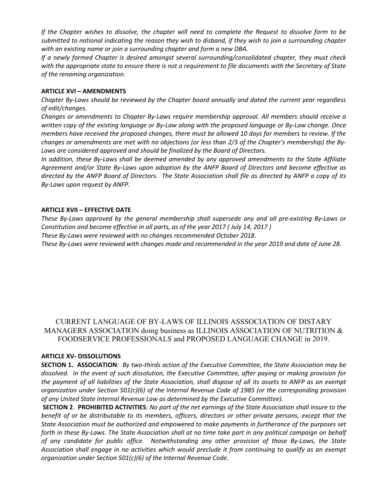*If the Chapter wishes to dissolve, the chapter will need to complete the Request to dissolve form to be submitted to national indicating the reason they wish to disband, if they wish to join a surrounding chapter with an existing name or join a surrounding chapter and form a new DBA.*

*If a newly formed Chapter is desired amongst several surrounding/consolidated chapter, they must check with the appropriate state to ensure there is not a requirement to file documents with the Secretary of State of the renaming organization.* 

#### **ARTICLE XVI – AMENDMENTS**

*Chapter By-Laws should be reviewed by the Chapter board annually and dated the current year regardless of edit/changes.*

*Changes or amendments to Chapter By-Laws require membership approval. All members should receive a written copy of the existing language or By-Law along with the proposed language or By-Law change. Once members have received the proposed changes, there must be allowed 10 days for members to review. If the changes or amendments are met with no objections (or less than 2/3 of the Chapter's membership) the By-Laws are considered approved and should be finalized by the Board of Directors.*

*In addition, these By-Laws shall be deemed amended by any approved amendments to the State Affiliate Agreement and/or State By-Laws upon adoption by the ANFP Board of Directors and become effective as directed by the ANFP Board of Directors. The State Association shall file as directed by ANFP a copy of its By-Laws upon request by ANFP.*

#### **ARTICLE XVII – EFFECTIVE DATE**

*These By-Laws approved by the general membership shall supersede any and all pre-existing By-Laws or Constitution and become effective in all parts, as of the year 2017 ( July 14, 2017 ) These By-Laws were reviewed with no changes recommended October 2018.*

*These By-Laws were reviewed with changes made and recommended in the year 2019 and date of June 28.* 

#### CURRENT LANGUAGE OF BY-LAWS OF ILLINOIS ASSSOCIATION OF DISTARY MANAGERS ASSOCIATION doing business as ILLINOIS ASSOCIATION OF NUTRITION & FOODSERVICE PROFESSIONALS and PROPOSED LANGUAGE CHANGE in 2019.

#### **ARTICLE XV- DISSOLUTIONS**

**SECTION 1. ASSOCIATION***: By two-thirds action of the Executive Committee, the State Association may be dissolved. In the event of such dissolution, the Executive Committee, after paying or making provision for the payment of all liabilities of the State Association, shall dispose of all its assets to ANFP as an exempt organization under Section 501(c)(6) of the Internal Revenue Code of 1985 (or the corresponding provision of any United State Internal Revenue Law as determined by the Executive Committee).*

**SECTION 2**. **PROHIBITED ACTIVITIES***: No part of the net earnings of the State Association shall insure to the benefit of or be distributable to its members, officers, directors or other private persons, except that the State Association must be authorized and empowered to make payments in furtherance of the purposes set forth in these By-Laws. The State Association shall at no time take part in any political campaign on behalf of any candidate for public office. Notwithstanding any other provision of those By-Laws, the State Association shall engage in no activities which would preclude it from continuing to qualify as an exempt organization under Section 501(c)(6) of the Internal Revenue Code.*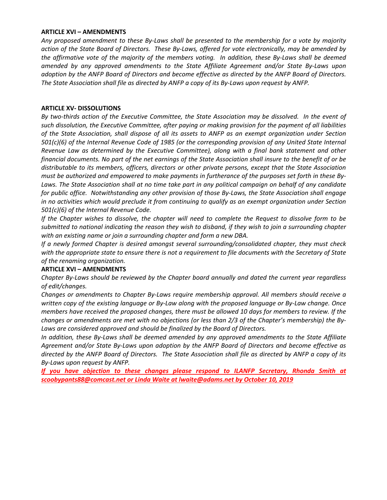#### **ARTICLE XVI – AMENDMENTS**

*Any proposed amendment to these By-Laws shall be presented to the membership for a vote by majority action of the State Board of Directors. These By-Laws, offered for vote electronically, may be amended by the affirmative vote of the majority of the members voting. In addition, these By-Laws shall be deemed amended by any approved amendments to the State Affiliate Agreement and/or State By-Laws upon adoption by the ANFP Board of Directors and become effective as directed by the ANFP Board of Directors. The State Association shall file as directed by ANFP a copy of its By-Laws upon request by ANFP.*

#### **ARTICLE XV- DISSOLUTIONS**

*By two-thirds action of the Executive Committee, the State Association may be dissolved. In the event of such dissolution, the Executive Committee, after paying or making provision for the payment of all liabilities of the State Association, shall dispose of all its assets to ANFP as an exempt organization under Section 501(c)(6) of the Internal Revenue Code of 1985 (or the corresponding provision of any United State Internal Revenue Law as determined by the Executive Committee), along with a final bank statement and other financial documents. No part of the net earnings of the State Association shall insure to the benefit of or be distributable to its members, officers, directors or other private persons, except that the State Association must be authorized and empowered to make payments in furtherance of the purposes set forth in these By-Laws. The State Association shall at no time take part in any political campaign on behalf of any candidate for public office. Notwithstanding any other provision of those By-Laws, the State Association shall engage in no activities which would preclude it from continuing to qualify as an exempt organization under Section 501(c)(6) of the Internal Revenue Code.* 

*If the Chapter wishes to dissolve, the chapter will need to complete the Request to dissolve form to be submitted to national indicating the reason they wish to disband, if they wish to join a surrounding chapter with an existing name or join a surrounding chapter and form a new DBA.*

*If a newly formed Chapter is desired amongst several surrounding/consolidated chapter, they must check with the appropriate state to ensure there is not a requirement to file documents with the Secretary of State of the renaming organization.* 

#### **ARTICLE XVI – AMENDMENTS**

*Chapter By-Laws should be reviewed by the Chapter board annually and dated the current year regardless of edit/changes.*

*Changes or amendments to Chapter By-Laws require membership approval. All members should receive a written copy of the existing language or By-Law along with the proposed language or By-Law change. Once members have received the proposed changes, there must be allowed 10 days for members to review. If the changes or amendments are met with no objections (or less than 2/3 of the Chapter's membership) the By-Laws are considered approved and should be finalized by the Board of Directors.*

*In addition, these By-Laws shall be deemed amended by any approved amendments to the State Affiliate Agreement and/or State By-Laws upon adoption by the ANFP Board of Directors and become effective as directed by the ANFP Board of Directors. The State Association shall file as directed by ANFP a copy of its By-Laws upon request by ANFP.*

*If you have objection to these changes please respond to ILANFP Secretary, Rhonda Smith at scoobypants88@comcast.net or Linda Waite at lwaite@adams.net by October 10, 2019*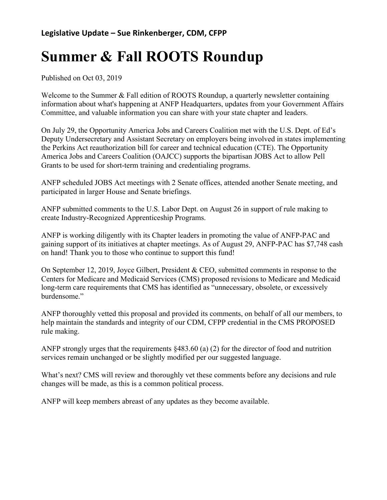# **Summer & Fall ROOTS Roundup**

Published on Oct 03, 2019

Welcome to the Summer  $&$  Fall edition of ROOTS Roundup, a quarterly newsletter containing information about what's happening at ANFP Headquarters, updates from your Government Affairs Committee, and valuable information you can share with your state chapter and leaders.

On July 29, the Opportunity America Jobs and Careers Coalition met with the U.S. Dept. of Ed's Deputy Undersecretary and Assistant Secretary on employers being involved in states implementing the Perkins Act reauthorization bill for career and technical education (CTE). The Opportunity America Jobs and Careers Coalition (OAJCC) supports the bipartisan JOBS Act to allow Pell Grants to be used for short-term training and credentialing programs.

ANFP scheduled JOBS Act meetings with 2 Senate offices, attended another Senate meeting, and participated in larger House and Senate briefings.

ANFP submitted comments to the U.S. Labor Dept. on August 26 in support of rule making to create Industry-Recognized Apprenticeship Programs.

ANFP is working diligently with its Chapter leaders in promoting the value of ANFP-PAC and gaining support of its initiatives at chapter meetings. As of August 29, ANFP-PAC has \$7,748 cash on hand! Thank you to those who continue to support this fund!

On September 12, 2019, Joyce Gilbert, President & CEO, submitted comments in response to the Centers for Medicare and Medicaid Services (CMS) proposed revisions to Medicare and Medicaid long-term care requirements that CMS has identified as "unnecessary, obsolete, or excessively burdensome."

ANFP thoroughly vetted this proposal and provided its comments, on behalf of all our members, to help maintain the standards and integrity of our CDM, CFPP credential in the CMS PROPOSED rule making.

ANFP strongly urges that the requirements §483.60 (a) (2) for the director of food and nutrition services remain unchanged or be slightly modified per our suggested language.

What's next? CMS will review and thoroughly vet these comments before any decisions and rule changes will be made, as this is a common political process.

ANFP will keep members abreast of any updates as they become available.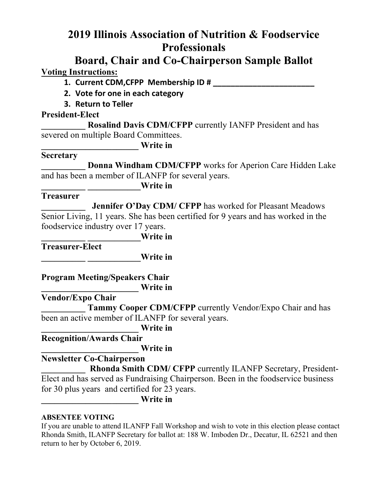# **2019 Illinois Association of Nutrition & Foodservice Professionals**

### **Board, Chair and Co-Chairperson Sample Ballot Voting Instructions:**

**1. Current CDM,CFPP Membership ID # \_\_\_\_\_\_\_\_\_\_\_\_\_\_\_\_\_\_\_\_\_\_\_**

- **2. Vote for one in each category**
- **3. Return to Teller**

#### **President-Elect**

**\_\_\_\_\_\_\_\_\_\_ Rosalind Davis CDM/CFPP** currently IANFP President and has severed on multiple Board Committees.

**\_\_\_\_\_\_\_\_\_\_\_\_\_\_\_\_\_\_\_\_\_\_ Write in**

### **Secretary**

**Donna Windham CDM/CFPP** works for Aperion Care Hidden Lake and has been a member of ILANFP for several years.

**\_\_\_\_\_\_\_\_\_\_ \_\_\_\_\_\_\_\_\_\_\_\_Write in**

#### **Treasurer**

**\_\_\_\_\_\_\_\_\_\_ Jennifer O'Day CDM/ CFPP** has worked for Pleasant Meadows Senior Living, 11 years. She has been certified for 9 years and has worked in the foodservice industry over 17 years.

**\_\_\_\_\_\_\_\_\_\_ \_\_\_\_\_\_\_\_\_\_\_\_Write in**

**Treasurer-Elect**

**\_\_\_\_\_\_\_\_\_\_ \_\_\_\_\_\_\_\_\_\_\_\_Write in**

**Program Meeting/Speakers Chair \_\_\_\_\_\_\_\_\_\_\_\_\_\_\_\_\_\_\_\_\_\_ Write in**

**Vendor/Expo Chair**

Tammy Cooper CDM/CFPP currently Vendor/Expo Chair and has been an active member of ILANFP for several years.

**\_\_\_\_\_\_\_\_\_\_\_\_\_\_\_\_\_\_\_\_\_\_ Write in**

**Recognition/Awards Chair**

**\_\_\_\_\_\_\_\_\_\_\_\_\_\_\_\_\_\_\_\_\_\_ Write in**

**Newsletter Co-Chairperson**

**\_\_\_\_\_\_\_\_\_\_ Rhonda Smith CDM/ CFPP** currently ILANFP Secretary, President-Elect and has served as Fundraising Chairperson. Been in the foodservice business for 30 plus years and certified for 23 years.

**\_\_\_\_\_\_\_\_\_\_\_\_\_\_\_\_\_\_\_\_\_\_ Write in**

#### **ABSENTEE VOTING**

If you are unable to attend ILANFP Fall Workshop and wish to vote in this election please contact Rhonda Smith, ILANFP Secretary for ballot at: 188 W. Imboden Dr., Decatur, IL 62521 and then return to her by October 6, 2019.